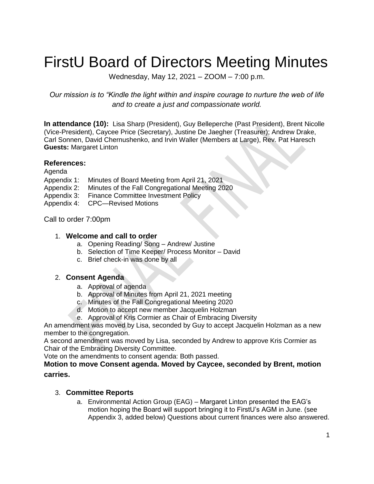# FirstU Board of Directors Meeting Minutes

Wednesday, May 12, 2021 – ZOOM – 7:00 p.m.

*Our mission is to "Kindle the light within and inspire courage to nurture the web of life and to create a just and compassionate world.*

**In attendance (10):** Lisa Sharp (President), Guy Belleperche (Past President), Brent Nicolle (Vice-President), Caycee Price (Secretary), Justine De Jaegher (Treasurer); Andrew Drake, Carl Sonnen, David Chernushenko, and Irvin Waller (Members at Large), Rev. Pat Haresch **Guests:** Margaret Linton

#### **References:**

Agenda

- Appendix 1: Minutes of Board Meeting from April 21, 2021
- Appendix 2: Minutes of the Fall Congregational Meeting 2020
- Appendix 3: Finance Committee Investment Policy
- Appendix 4: CPC—Revised Motions

Call to order 7:00pm

#### 1. **Welcome and call to order**

- a. Opening Reading/ Song Andrew/ Justine
- b. Selection of Time Keeper/ Process Monitor David
- c. Brief check-in was done by all

#### 2. **Consent Agenda**

- a. Approval of agenda
- b. Approval of Minutes from April 21, 2021 meeting
- c. Minutes of the Fall Congregational Meeting 2020
- d. Motion to accept new member Jacquelin Holzman
- e. Approval of Kris Cormier as Chair of Embracing Diversity

An amendment was moved by Lisa, seconded by Guy to accept Jacquelin Holzman as a new member to the congregation.

A second amendment was moved by Lisa, seconded by Andrew to approve Kris Cormier as Chair of the Embracing Diversity Committee.

Vote on the amendments to consent agenda: Both passed.

#### **Motion to move Consent agenda. Moved by Caycee, seconded by Brent, motion carries.**

# 3. **Committee Reports**

a. Environmental Action Group (EAG) – Margaret Linton presented the EAG's motion hoping the Board will support bringing it to FirstU's AGM in June. (see Appendix 3, added below) Questions about current finances were also answered.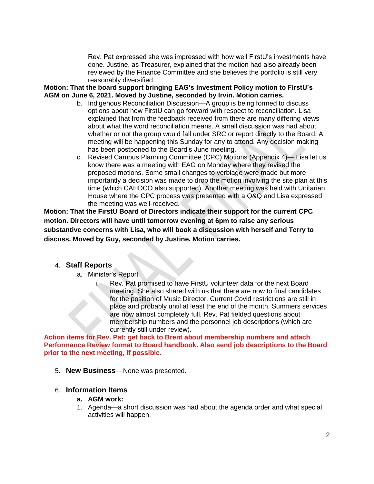Rev. Pat expressed she was impressed with how well FirstU's investments have done. Justine, as Treasurer, explained that the motion had also already been reviewed by the Finance Committee and she believes the portfolio is still very reasonably diversified.

#### **Motion: That the board support bringing EAG's Investment Policy motion to FirstU's AGM on June 6, 2021. Moved by Justine, seconded by Irvin. Motion carries.**

- b. Indigenous Reconciliation Discussion—A group is being formed to discuss options about how FirstU can go forward with respect to reconciliation. Lisa explained that from the feedback received from there are many differing views about what the word reconciliation means. A small discussion was had about whether or not the group would fall under SRC or report directly to the Board. A meeting will be happening this Sunday for any to attend. Any decision making has been postponed to the Board's June meeting.
- c. Revised Campus Planning Committee (CPC) Motions (Appendix 4)— Lisa let us know there was a meeting with EAG on Monday where they revised the proposed motions. Some small changes to verbiage were made but more importantly a decision was made to drop the motion involving the site plan at this time (which CAHDCO also supported). Another meeting was held with Unitarian House where the CPC process was presented with a Q&Q and Lisa expressed the meeting was well-received.

**Motion: That the FirstU Board of Directors indicate their support for the current CPC motion. Directors will have until tomorrow evening at 6pm to raise any serious substantive concerns with Lisa, who will book a discussion with herself and Terry to discuss. Moved by Guy, seconded by Justine. Motion carries.**

#### 4. **Staff Reports**

- a. Minister's Report
	- i. Rev. Pat promised to have FirstU volunteer data for the next Board meeting. She also shared with us that there are now to final candidates for the position of Music Director. Current Covid restrictions are still in place and probably until at least the end of the month. Summers services are now almost completely full. Rev. Pat fielded questions about membership numbers and the personnel job descriptions (which are currently still under review).

**Action items for Rev. Pat: get back to Brent about membership numbers and attach Performance Review format to Board handbook. Also send job descriptions to the Board prior to the next meeting, if possible.** 

5. **New Business**—None was presented.

### 6. **Information Items**

- **a. AGM work:**
- 1. Agenda—a short discussion was had about the agenda order and what special activities will happen.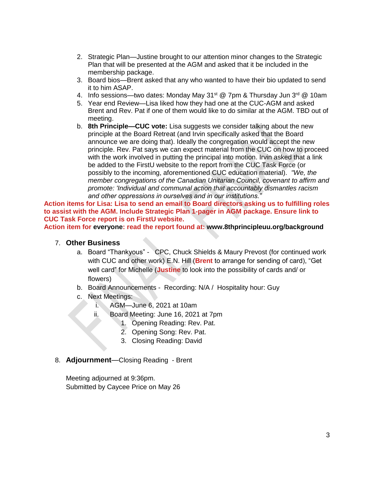- 2. Strategic Plan—Justine brought to our attention minor changes to the Strategic Plan that will be presented at the AGM and asked that it be included in the membership package.
- 3. Board bios—Brent asked that any who wanted to have their bio updated to send it to him ASAP.
- 4. Info sessions—two dates: Monday May 31<sup>st</sup> @ 7pm & Thursday Jun 3<sup>rd</sup> @ 10am
- 5. Year end Review—Lisa liked how they had one at the CUC-AGM and asked Brent and Rev. Pat if one of them would like to do similar at the AGM. TBD out of meeting.
- b. **8th Principle—CUC vote:** Lisa suggests we consider talking about the new principle at the Board Retreat (and Irvin specifically asked that the Board announce we are doing that). Ideally the congregation would accept the new principle. Rev. Pat says we can expect material from the CUC on how to proceed with the work involved in putting the principal into motion. Irvin asked that a link be added to the FirstU website to the report from the CUC Task Force (or possibly to the incoming, aforementioned CUC education material). *"We, the member congregations of the Canadian Unitarian Council, covenant to affirm and promote: 'Individual and communal action that accountably dismantles racism and other oppressions in ourselves and in our institutions."*

**Action items for Lisa: Lisa to send an email to Board directors asking us to fulfilling roles to assist with the AGM. Include Strategic Plan 1-pager in AGM package. Ensure link to CUC Task Force report is on FirstU website.**

**Action item for everyone: read the report found at: www.8thprincipleuu.org/background**

#### 7. **Other Business**

- a. Board "Thankyous" CPC, Chuck Shields & Maury Prevost (for continued work with CUC and other work) E.N. Hill (**Brent** to arrange for sending of card), "Get well card" for Michelle (**Justine** to look into the possibility of cards and/ or flowers)
- b. Board Announcements Recording: N/A / Hospitality hour: Guy
- c. Next Meetings:
	- i. AGM—June 6, 2021 at 10am
	- ii. Board Meeting: June 16, 2021 at 7pm
		- 1. Opening Reading: Rev. Pat.
		- 2. Opening Song: Rev. Pat.
		- 3. Closing Reading: David
- 8. **Adjournment**—Closing Reading Brent

Meeting adjourned at 9:36pm. Submitted by Caycee Price on May 26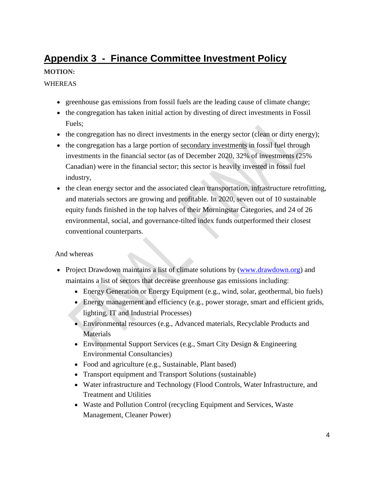# **Appendix 3 - Finance Committee Investment Policy**

# **MOTION:**

#### WHEREAS

- greenhouse gas emissions from fossil fuels are the leading cause of climate change;
- the congregation has taken initial action by divesting of direct investments in Fossil Fuels;
- the congregation has no direct investments in the energy sector (clean or dirty energy);
- the congregation has a large portion of secondary investments in fossil fuel through investments in the financial sector (as of December 2020, 32% of investments (25% Canadian) were in the financial sector; this sector is heavily invested in fossil fuel industry,
- the clean energy sector and the associated clean transportation, infrastructure retrofitting, and materials sectors are growing and profitable. In 2020, seven out of 10 sustainable equity funds finished in the top halves of their Morningstar Categories, and 24 of 26 environmental, social, and governance-tilted index funds outperformed their closest conventional counterparts.

#### And whereas

- Project Drawdown maintains a list of climate solutions by [\(www.drawdown.org\)](about:blank) and maintains a list of sectors that decrease greenhouse gas emissions including:
	- Energy Generation or Energy Equipment (e.g., wind, solar, geothermal, bio fuels)
	- Energy management and efficiency (e.g., power storage, smart and efficient grids, lighting, IT and Industrial Processes)
	- Environmental resources (e.g., Advanced materials, Recyclable Products and **Materials**
	- Environmental Support Services (e.g., Smart City Design & Engineering Environmental Consultancies)
	- Food and agriculture (e.g., Sustainable, Plant based)
	- Transport equipment and Transport Solutions (sustainable)
	- Water infrastructure and Technology (Flood Controls, Water Infrastructure, and Treatment and Utilities
	- Waste and Pollution Control (recycling Equipment and Services, Waste Management, Cleaner Power)